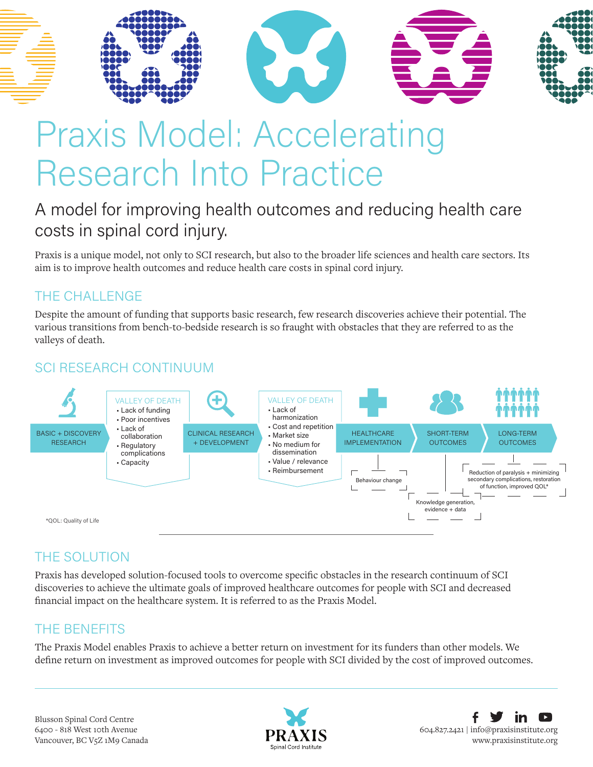

# Praxis Model: Accelerating Research Into Practice

### A model for improving health outcomes and reducing health care costs in spinal cord injury.

Praxis is a unique model, not only to SCI research, but also to the broader life sciences and health care sectors. Its aim is to improve health outcomes and reduce health care costs in spinal cord injury.

### THE CHALLENGE

Despite the amount of funding that supports basic research, few research discoveries achieve their potential. The various transitions from bench-to-bedside research is so fraught with obstacles that they are referred to as the valleys of death.

### SCI RESEARCH CONTINUUM



### THE SOLUTION

Praxis has developed solution-focused tools to overcome specific obstacles in the research continuum of SCI discoveries to achieve the ultimate goals of improved healthcare outcomes for people with SCI and decreased financial impact on the healthcare system. It is referred to as the Praxis Model.

### THE BENEFITS

The Praxis Model enables Praxis to achieve a better return on investment for its funders than other models. We define return on investment as improved outcomes for people with SCI divided by the cost of improved outcomes.

Blusson Spinal Cord Centre 6400 - 818 West 10th Avenue Vancouver, BC V5Z 1M9 Canada



604.827.2421 | [info@praxisinstitute.org](mailto:info%40praxisinstitute.org?subject=) [www.praxisinstitute.org](https://praxisinstitute.org)